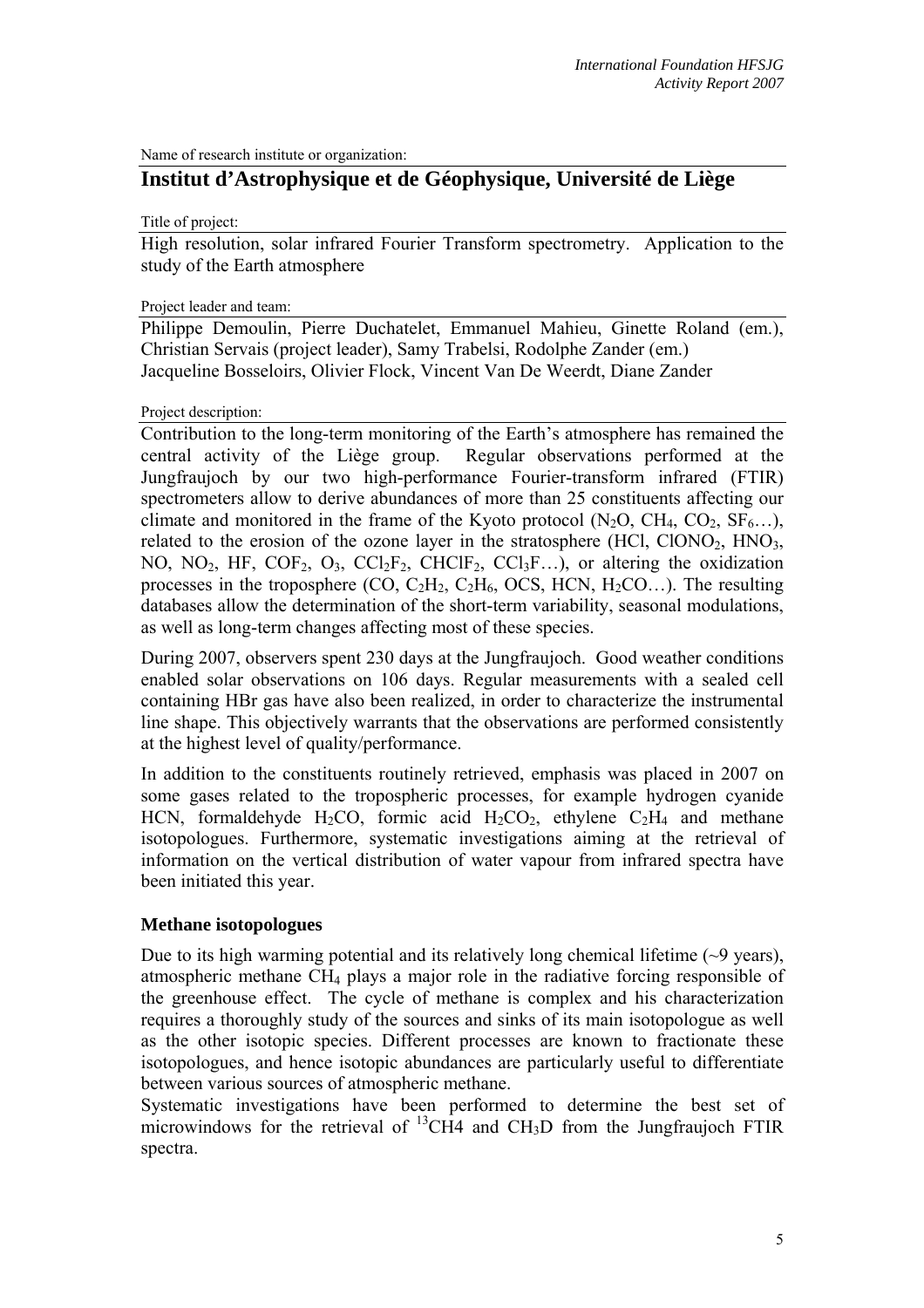Name of research institute or organization:

# **Institut d'Astrophysique et de Géophysique, Université de Liège**

Title of project:

High resolution, solar infrared Fourier Transform spectrometry. Application to the study of the Earth atmosphere

Project leader and team:

Philippe Demoulin, Pierre Duchatelet, Emmanuel Mahieu, Ginette Roland (em.), Christian Servais (project leader), Samy Trabelsi, Rodolphe Zander (em.) Jacqueline Bosseloirs, Olivier Flock, Vincent Van De Weerdt, Diane Zander

Project description:

Contribution to the long-term monitoring of the Earth's atmosphere has remained the central activity of the Liège group. Regular observations performed at the Jungfraujoch by our two high-performance Fourier-transform infrared (FTIR) spectrometers allow to derive abundances of more than 25 constituents affecting our climate and monitored in the frame of the Kyoto protocol  $(N_2O, CH_4, CO_2, SF_6...),$ related to the erosion of the ozone layer in the stratosphere  $(HCl, ClONO<sub>2</sub>, HNO<sub>3</sub>)$ , NO, NO<sub>2</sub>, HF, COF<sub>2</sub>, O<sub>3</sub>, CCl<sub>2</sub>F<sub>2</sub>, CHClF<sub>2</sub>, CCl<sub>3</sub>F...), or altering the oxidization processes in the troposphere (CO,  $C_2H_2$ ,  $C_2H_6$ , OCS, HCN,  $H_2CO$ ...). The resulting databases allow the determination of the short-term variability, seasonal modulations, as well as long-term changes affecting most of these species.

During 2007, observers spent 230 days at the Jungfraujoch. Good weather conditions enabled solar observations on 106 days. Regular measurements with a sealed cell containing HBr gas have also been realized, in order to characterize the instrumental line shape. This objectively warrants that the observations are performed consistently at the highest level of quality/performance.

In addition to the constituents routinely retrieved, emphasis was placed in 2007 on some gases related to the tropospheric processes, for example hydrogen cyanide HCN, formaldehyde H<sub>2</sub>CO, formic acid H<sub>2</sub>CO<sub>2</sub>, ethylene C<sub>2</sub>H<sub>4</sub> and methane isotopologues. Furthermore, systematic investigations aiming at the retrieval of information on the vertical distribution of water vapour from infrared spectra have been initiated this year.

### **Methane isotopologues**

Due to its high warming potential and its relatively long chemical lifetime  $(\sim 9 \text{ years})$ , atmospheric methane CH4 plays a major role in the radiative forcing responsible of the greenhouse effect. The cycle of methane is complex and his characterization requires a thoroughly study of the sources and sinks of its main isotopologue as well as the other isotopic species. Different processes are known to fractionate these isotopologues, and hence isotopic abundances are particularly useful to differentiate between various sources of atmospheric methane.

Systematic investigations have been performed to determine the best set of microwindows for the retrieval of  $^{13}$ CH4 and CH<sub>3</sub>D from the Jungfraujoch FTIR spectra.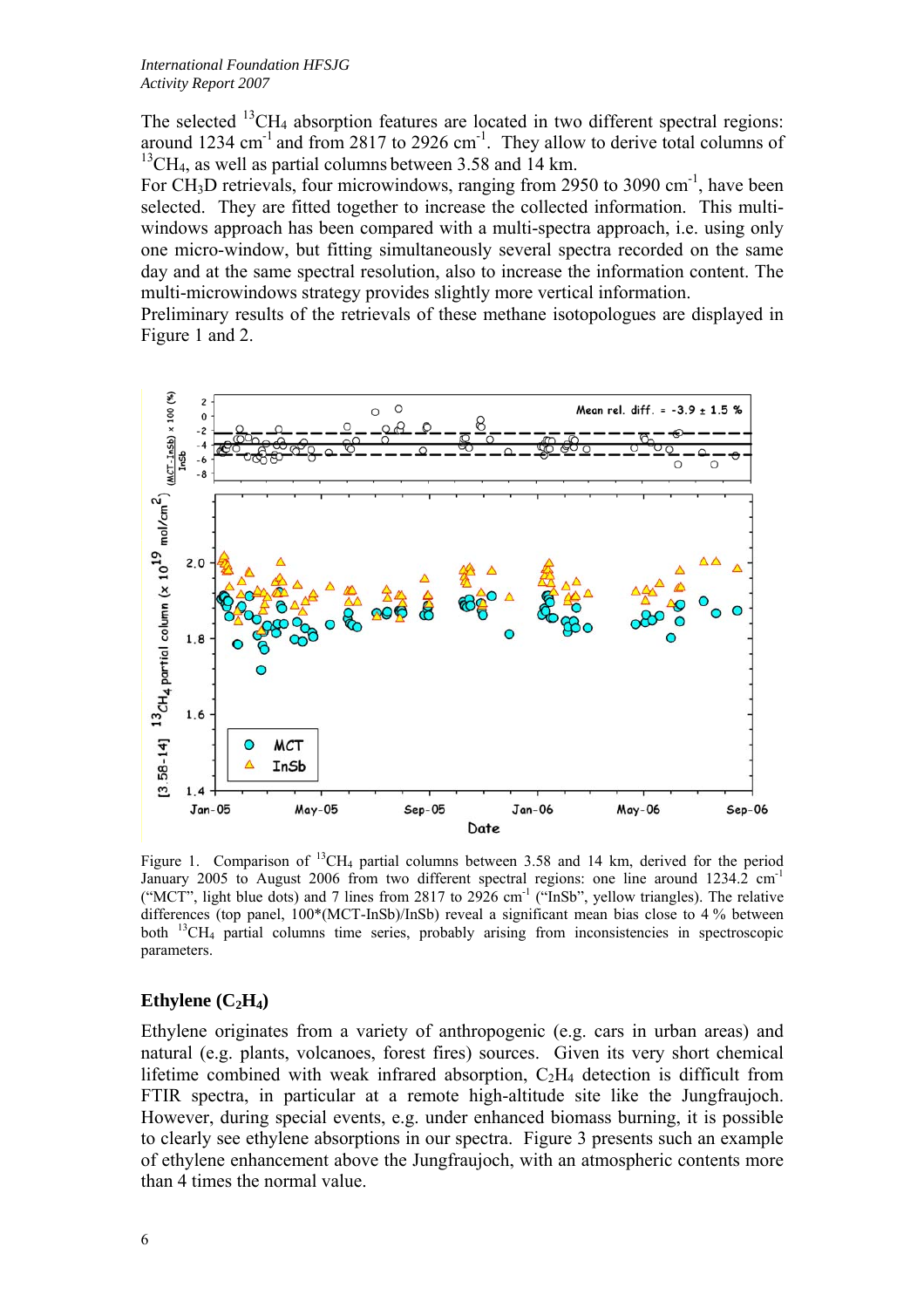The selected  ${}^{13}CH_4$  absorption features are located in two different spectral regions: around 1234 cm<sup>-1</sup> and from 2817 to 2926 cm<sup>-1</sup>. They allow to derive total columns of  $^{13}$ CH<sub>4</sub>, as well as partial columns between 3.58 and 14 km.

For CH<sub>3</sub>D retrievals, four microwindows, ranging from 2950 to 3090 cm<sup>-1</sup>, have been selected. They are fitted together to increase the collected information. This multiwindows approach has been compared with a multi-spectra approach, i.e. using only one micro-window, but fitting simultaneously several spectra recorded on the same day and at the same spectral resolution, also to increase the information content. The multi-microwindows strategy provides slightly more vertical information.

Preliminary results of the retrievals of these methane isotopologues are displayed in Figure 1 and 2.



Figure 1. Comparison of  ${}^{13}CH_4$  partial columns between 3.58 and 14 km, derived for the period January 2005 to August 2006 from two different spectral regions: one line around 1234.2 cm<sup>-1</sup> ("MCT", light blue dots) and 7 lines from 2817 to 2926 cm<sup>-1</sup> ("InSb", yellow triangles). The relative differences (top panel,  $100*(MCT-InSb)/InSb$ ) reveal a significant mean bias close to 4 % between both  ${}^{13}CH_4$  partial columns time series, probably arising from inconsistencies in spectroscopic parameters.

### Ethylene  $(C_2H_4)$

Ethylene originates from a variety of anthropogenic (e.g. cars in urban areas) and natural (e.g. plants, volcanoes, forest fires) sources. Given its very short chemical lifetime combined with weak infrared absorption,  $C_2H_4$  detection is difficult from FTIR spectra, in particular at a remote high-altitude site like the Jungfraujoch. However, during special events, e.g. under enhanced biomass burning, it is possible to clearly see ethylene absorptions in our spectra. Figure 3 presents such an example of ethylene enhancement above the Jungfraujoch, with an atmospheric contents more than 4 times the normal value.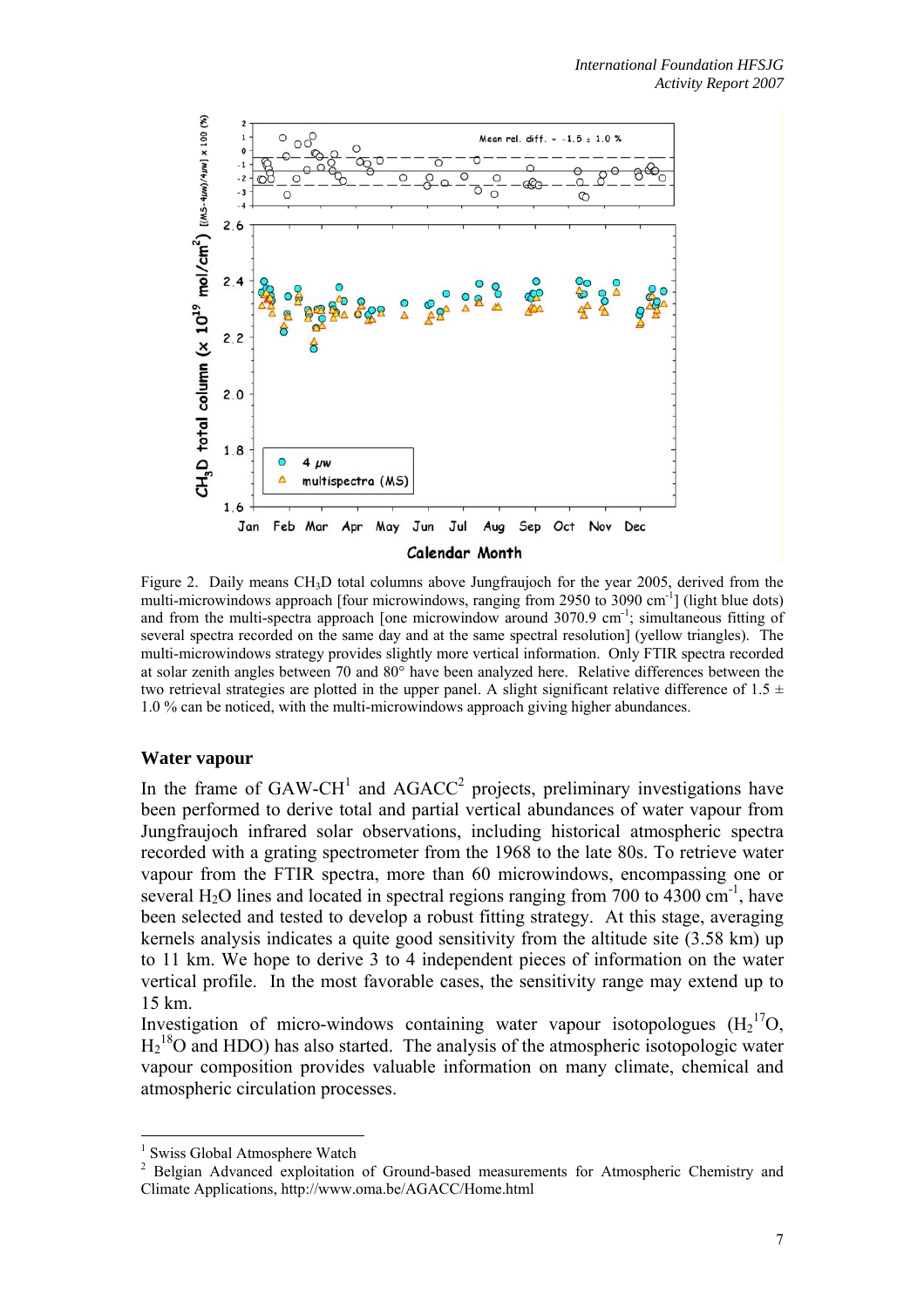

Figure 2. Daily means CH3D total columns above Jungfraujoch for the year 2005, derived from the multi-microwindows approach [four microwindows, ranging from 2950 to 3090 cm<sup>-1</sup>] (light blue dots) and from the multi-spectra approach [one microwindow around 3070.9 cm<sup>-1</sup>; simultaneous fitting of several spectra recorded on the same day and at the same spectral resolution] (yellow triangles). The multi-microwindows strategy provides slightly more vertical information. Only FTIR spectra recorded at solar zenith angles between 70 and 80° have been analyzed here. Relative differences between the two retrieval strategies are plotted in the upper panel. A slight significant relative difference of  $1.5 \pm 1.5$ 1.0 % can be noticed, with the multi-microwindows approach giving higher abundances.

#### **Water vapour**

In the frame of  $GAW-CH<sup>1</sup>$  and  $AGACC<sup>2</sup>$  projects, preliminary investigations have been performed to derive total and partial vertical abundances of water vapour from Jungfraujoch infrared solar observations, including historical atmospheric spectra recorded with a grating spectrometer from the 1968 to the late 80s. To retrieve water vapour from the FTIR spectra, more than 60 microwindows, encompassing one or several H<sub>2</sub>O lines and located in spectral regions ranging from 700 to 4300 cm<sup>-1</sup>, have been selected and tested to develop a robust fitting strategy. At this stage, averaging kernels analysis indicates a quite good sensitivity from the altitude site (3.58 km) up to 11 km. We hope to derive 3 to 4 independent pieces of information on the water vertical profile. In the most favorable cases, the sensitivity range may extend up to 15 km.

Investigation of micro-windows containing water vapour isotopologues  $(H_2$ <sup>17</sup>O,  $H_2$ <sup>18</sup>O and HDO) has also started. The analysis of the atmospheric isotopologic water vapour composition provides valuable information on many climate, chemical and atmospheric circulation processes.

1

<sup>&</sup>lt;sup>1</sup> Swiss Global Atmosphere Watch

<sup>&</sup>lt;sup>2</sup> Belgian Advanced exploitation of Ground-based measurements for Atmospheric Chemistry and Climate Applications, http://www.oma.be/AGACC/Home.html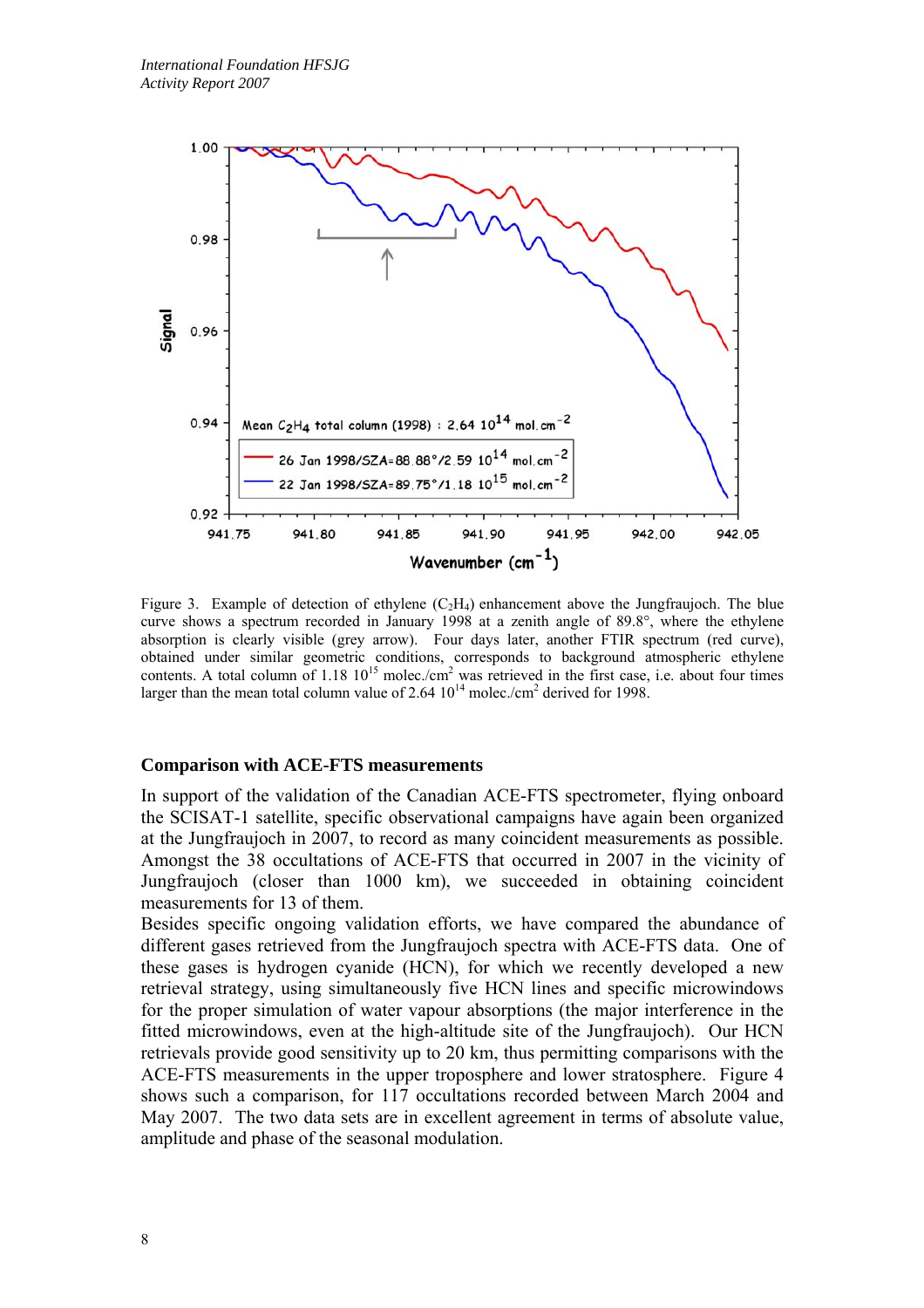

Figure 3. Example of detection of ethylene  $(C_2H_4)$  enhancement above the Jungfraujoch. The blue curve shows a spectrum recorded in January 1998 at a zenith angle of 89.8°, where the ethylene absorption is clearly visible (grey arrow). Four days later, another FTIR spectrum (red curve), obtained under similar geometric conditions, corresponds to background atmospheric ethylene contents. A total column of  $1.18 \times 10^{15}$  molec./cm<sup>2</sup> was retrieved in the first case, i.e. about four times larger than the mean total column value of 2.64  $10^{14}$  molec./cm<sup>2</sup> derived for 1998.

### **Comparison with ACE-FTS measurements**

In support of the validation of the Canadian ACE-FTS spectrometer, flying onboard the SCISAT-1 satellite, specific observational campaigns have again been organized at the Jungfraujoch in 2007, to record as many coincident measurements as possible. Amongst the 38 occultations of ACE-FTS that occurred in 2007 in the vicinity of Jungfraujoch (closer than 1000 km), we succeeded in obtaining coincident measurements for 13 of them.

Besides specific ongoing validation efforts, we have compared the abundance of different gases retrieved from the Jungfraujoch spectra with ACE-FTS data. One of these gases is hydrogen cyanide (HCN), for which we recently developed a new retrieval strategy, using simultaneously five HCN lines and specific microwindows for the proper simulation of water vapour absorptions (the major interference in the fitted microwindows, even at the high-altitude site of the Jungfraujoch). Our HCN retrievals provide good sensitivity up to 20 km, thus permitting comparisons with the ACE-FTS measurements in the upper troposphere and lower stratosphere. Figure 4 shows such a comparison, for 117 occultations recorded between March 2004 and May 2007. The two data sets are in excellent agreement in terms of absolute value, amplitude and phase of the seasonal modulation.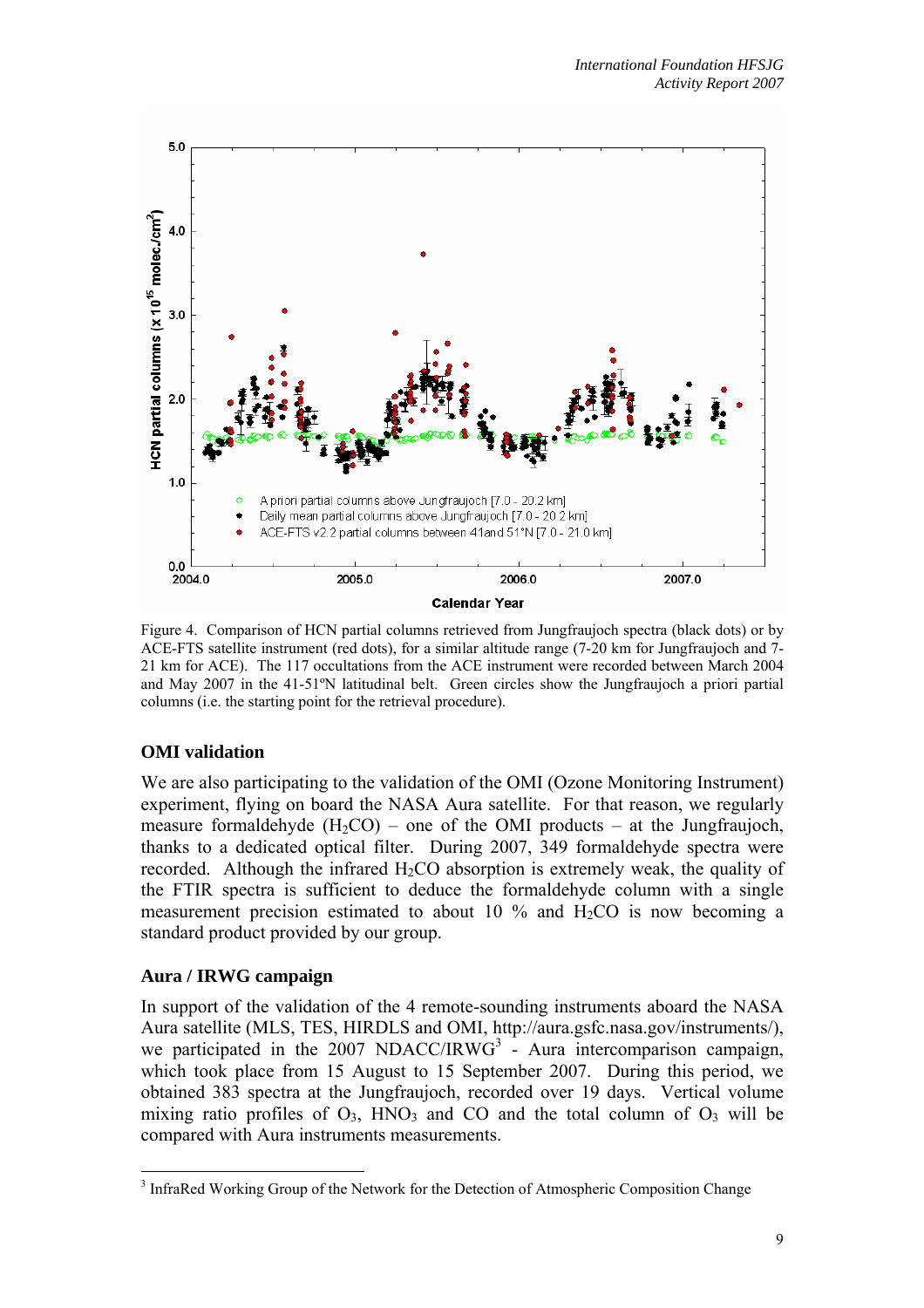

Figure 4. Comparison of HCN partial columns retrieved from Jungfraujoch spectra (black dots) or by ACE-FTS satellite instrument (red dots), for a similar altitude range (7-20 km for Jungfraujoch and 7- 21 km for ACE). The 117 occultations from the ACE instrument were recorded between March 2004 and May 2007 in the 41-51ºN latitudinal belt. Green circles show the Jungfraujoch a priori partial columns (i.e. the starting point for the retrieval procedure).

# **OMI validation**

We are also participating to the validation of the OMI (Ozone Monitoring Instrument) experiment, flying on board the NASA Aura satellite. For that reason, we regularly measure formaldehyde  $(H_2CO)$  – one of the OMI products – at the Jungfraujoch, thanks to a dedicated optical filter. During 2007, 349 formaldehyde spectra were recorded. Although the infrared  $H_2CO$  absorption is extremely weak, the quality of the FTIR spectra is sufficient to deduce the formaldehyde column with a single measurement precision estimated to about 10  $\%$  and H<sub>2</sub>CO is now becoming a standard product provided by our group.

### **Aura / IRWG campaign**

<u>.</u>

In support of the validation of the 4 remote-sounding instruments aboard the NASA Aura satellite (MLS, TES, HIRDLS and OMI, http://aura.gsfc.nasa.gov/instruments/), we participated in the 2007 NDACC/IRWG<sup>3</sup> - Aura intercomparison campaign, which took place from 15 August to 15 September 2007. During this period, we obtained 383 spectra at the Jungfraujoch, recorded over 19 days. Vertical volume mixing ratio profiles of  $O_3$ , HNO<sub>3</sub> and CO and the total column of  $O_3$  will be compared with Aura instruments measurements.

<sup>&</sup>lt;sup>3</sup> InfraRed Working Group of the Network for the Detection of Atmospheric Composition Change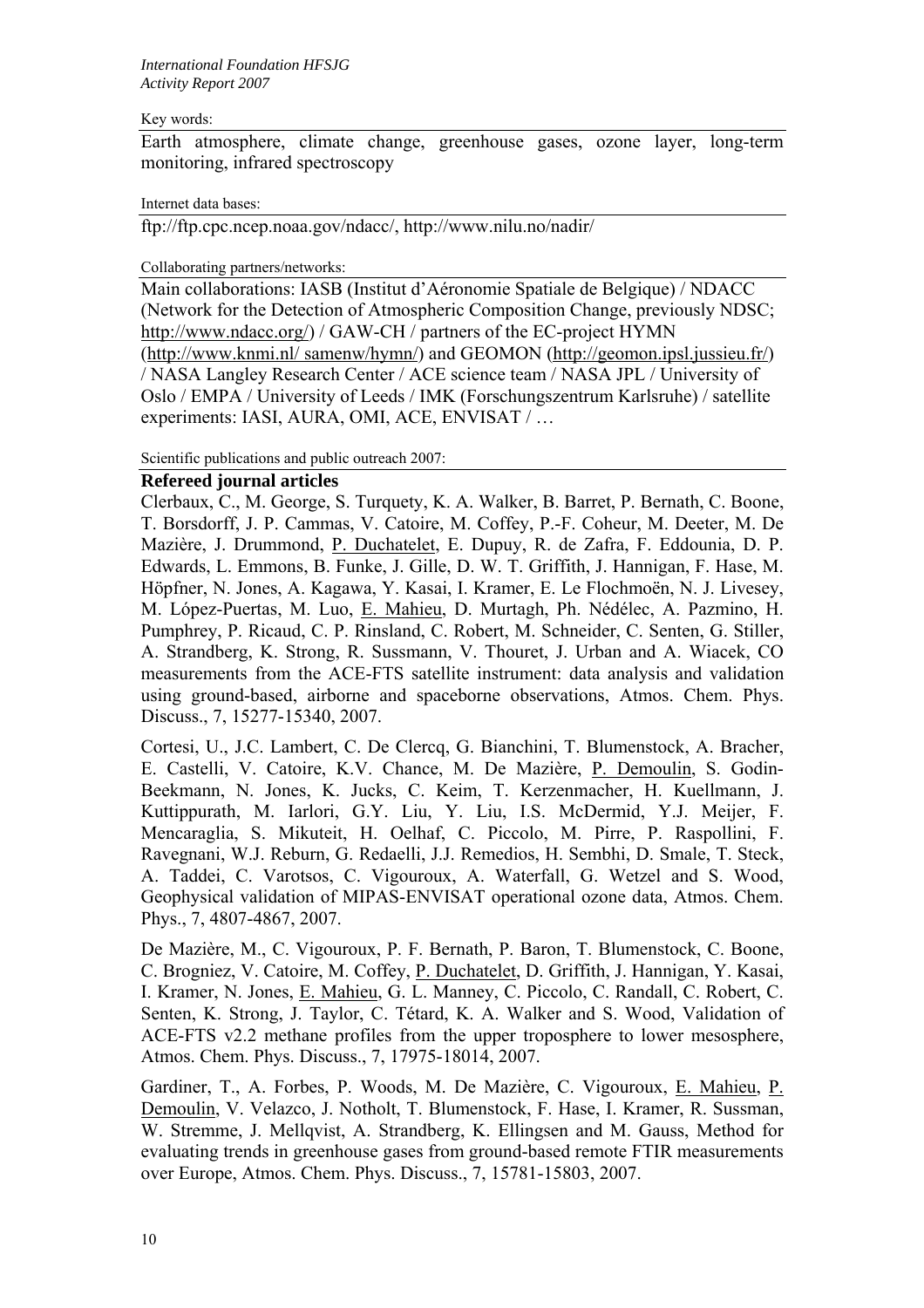#### Key words:

Earth atmosphere, climate change, greenhouse gases, ozone layer, long-term monitoring, infrared spectroscopy

#### Internet data bases:

ftp://ftp.cpc.ncep.noaa.gov/ndacc/, http://www.nilu.no/nadir/

#### Collaborating partners/networks:

Main collaborations: IASB (Institut d'Aéronomie Spatiale de Belgique) / NDACC (Network for the Detection of Atmospheric Composition Change, previously NDSC; http://www.ndacc.org/) / GAW-CH / partners of the EC-project HYMN (http://www.knmi.nl/ samenw/hymn/) and GEOMON (http://geomon.ipsl.jussieu.fr/) / NASA Langley Research Center / ACE science team / NASA JPL / University of Oslo / EMPA / University of Leeds / IMK (Forschungszentrum Karlsruhe) / satellite experiments: IASI, AURA, OMI, ACE, ENVISAT / …

Scientific publications and public outreach 2007:

### **Refereed journal articles**

Clerbaux, C., M. George, S. Turquety, K. A. Walker, B. Barret, P. Bernath, C. Boone, T. Borsdorff, J. P. Cammas, V. Catoire, M. Coffey, P.-F. Coheur, M. Deeter, M. De Mazière, J. Drummond, P. Duchatelet, E. Dupuy, R. de Zafra, F. Eddounia, D. P. Edwards, L. Emmons, B. Funke, J. Gille, D. W. T. Griffith, J. Hannigan, F. Hase, M. Höpfner, N. Jones, A. Kagawa, Y. Kasai, I. Kramer, E. Le Flochmoën, N. J. Livesey, M. López-Puertas, M. Luo, E. Mahieu, D. Murtagh, Ph. Nédélec, A. Pazmino, H. Pumphrey, P. Ricaud, C. P. Rinsland, C. Robert, M. Schneider, C. Senten, G. Stiller, A. Strandberg, K. Strong, R. Sussmann, V. Thouret, J. Urban and A. Wiacek, CO measurements from the ACE-FTS satellite instrument: data analysis and validation using ground-based, airborne and spaceborne observations, Atmos. Chem. Phys. Discuss., 7, 15277-15340, 2007.

Cortesi, U., J.C. Lambert, C. De Clercq, G. Bianchini, T. Blumenstock, A. Bracher, E. Castelli, V. Catoire, K.V. Chance, M. De Mazière, P. Demoulin, S. Godin-Beekmann, N. Jones, K. Jucks, C. Keim, T. Kerzenmacher, H. Kuellmann, J. Kuttippurath, M. Iarlori, G.Y. Liu, Y. Liu, I.S. McDermid, Y.J. Meijer, F. Mencaraglia, S. Mikuteit, H. Oelhaf, C. Piccolo, M. Pirre, P. Raspollini, F. Ravegnani, W.J. Reburn, G. Redaelli, J.J. Remedios, H. Sembhi, D. Smale, T. Steck, A. Taddei, C. Varotsos, C. Vigouroux, A. Waterfall, G. Wetzel and S. Wood, Geophysical validation of MIPAS-ENVISAT operational ozone data, Atmos. Chem. Phys., 7, 4807-4867, 2007.

De Mazière, M., C. Vigouroux, P. F. Bernath, P. Baron, T. Blumenstock, C. Boone, C. Brogniez, V. Catoire, M. Coffey, P. Duchatelet, D. Griffith, J. Hannigan, Y. Kasai, I. Kramer, N. Jones, E. Mahieu, G. L. Manney, C. Piccolo, C. Randall, C. Robert, C. Senten, K. Strong, J. Taylor, C. Tétard, K. A. Walker and S. Wood, Validation of ACE-FTS v2.2 methane profiles from the upper troposphere to lower mesosphere, Atmos. Chem. Phys. Discuss., 7, 17975-18014, 2007.

Gardiner, T., A. Forbes, P. Woods, M. De Mazière, C. Vigouroux, E. Mahieu, P. Demoulin, V. Velazco, J. Notholt, T. Blumenstock, F. Hase, I. Kramer, R. Sussman, W. Stremme, J. Mellqvist, A. Strandberg, K. Ellingsen and M. Gauss, Method for evaluating trends in greenhouse gases from ground-based remote FTIR measurements over Europe, Atmos. Chem. Phys. Discuss., 7, 15781-15803, 2007.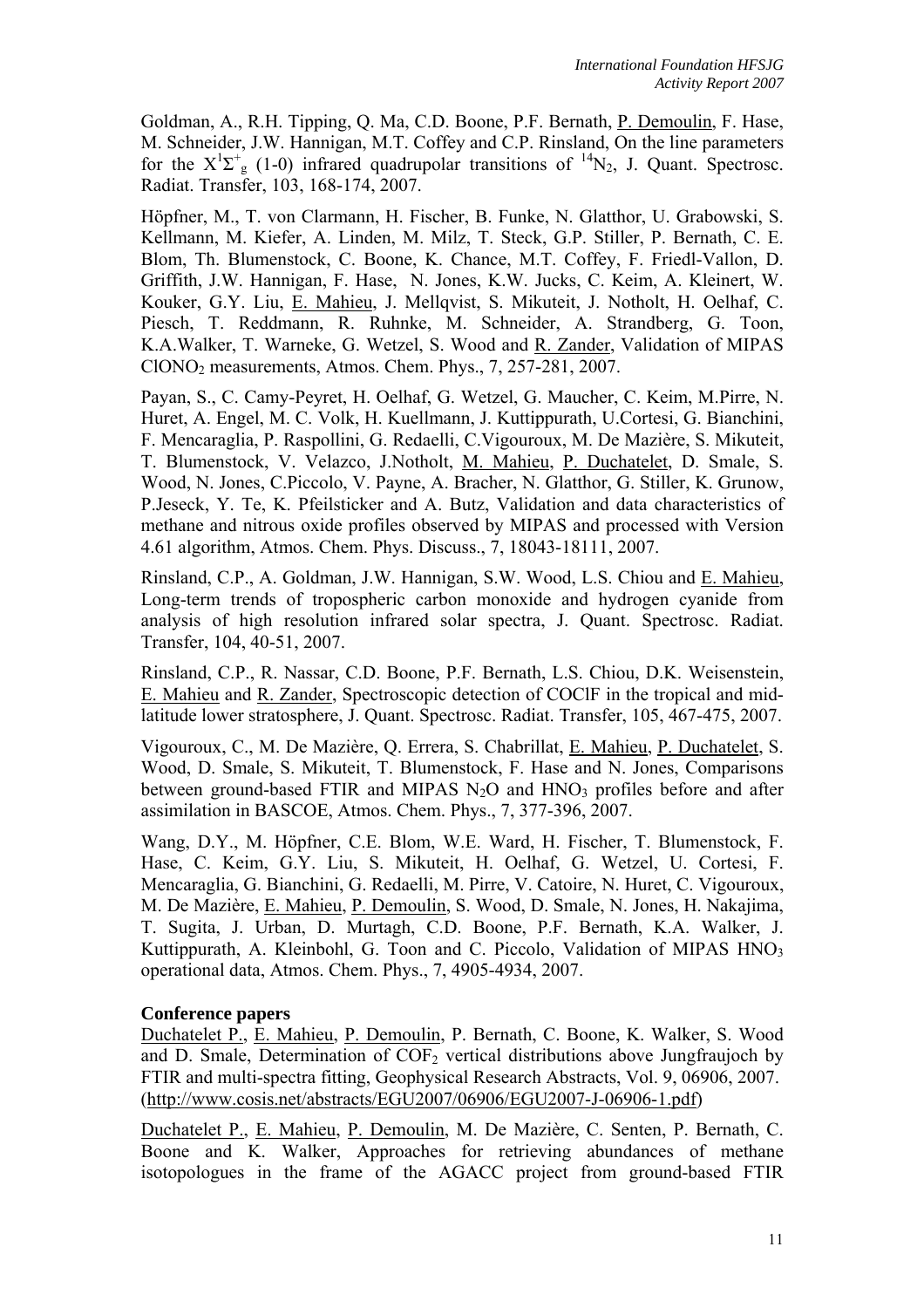Goldman, A., R.H. Tipping, Q. Ma, C.D. Boone, P.F. Bernath, P. Demoulin, F. Hase, M. Schneider, J.W. Hannigan, M.T. Coffey and C.P. Rinsland, On the line parameters for the  $X^1\Sigma^+_{g}$  (1-0) infrared quadrupolar transitions of <sup>14</sup>N<sub>2</sub>, J. Quant. Spectrosc. Radiat. Transfer, 103, 168-174, 2007.

Höpfner, M., T. von Clarmann, H. Fischer, B. Funke, N. Glatthor, U. Grabowski, S. Kellmann, M. Kiefer, A. Linden, M. Milz, T. Steck, G.P. Stiller, P. Bernath, C. E. Blom, Th. Blumenstock, C. Boone, K. Chance, M.T. Coffey, F. Friedl-Vallon, D. Griffith, J.W. Hannigan, F. Hase, N. Jones, K.W. Jucks, C. Keim, A. Kleinert, W. Kouker, G.Y. Liu, E. Mahieu, J. Mellqvist, S. Mikuteit, J. Notholt, H. Oelhaf, C. Piesch, T. Reddmann, R. Ruhnke, M. Schneider, A. Strandberg, G. Toon, K.A.Walker, T. Warneke, G. Wetzel, S. Wood and R. Zander, Validation of MIPAS ClONO2 measurements, Atmos. Chem. Phys., 7, 257-281, 2007.

Payan, S., C. Camy-Peyret, H. Oelhaf, G. Wetzel, G. Maucher, C. Keim, M.Pirre, N. Huret, A. Engel, M. C. Volk, H. Kuellmann, J. Kuttippurath, U.Cortesi, G. Bianchini, F. Mencaraglia, P. Raspollini, G. Redaelli, C.Vigouroux, M. De Mazière, S. Mikuteit, T. Blumenstock, V. Velazco, J.Notholt, M. Mahieu, P. Duchatelet, D. Smale, S. Wood, N. Jones, C.Piccolo, V. Payne, A. Bracher, N. Glatthor, G. Stiller, K. Grunow, P.Jeseck, Y. Te, K. Pfeilsticker and A. Butz, Validation and data characteristics of methane and nitrous oxide profiles observed by MIPAS and processed with Version 4.61 algorithm, Atmos. Chem. Phys. Discuss., 7, 18043-18111, 2007.

Rinsland, C.P., A. Goldman, J.W. Hannigan, S.W. Wood, L.S. Chiou and E. Mahieu, Long-term trends of tropospheric carbon monoxide and hydrogen cyanide from analysis of high resolution infrared solar spectra, J. Quant. Spectrosc. Radiat. Transfer, 104, 40-51, 2007.

Rinsland, C.P., R. Nassar, C.D. Boone, P.F. Bernath, L.S. Chiou, D.K. Weisenstein, E. Mahieu and R. Zander, Spectroscopic detection of COClF in the tropical and midlatitude lower stratosphere, J. Quant. Spectrosc. Radiat. Transfer, 105, 467-475, 2007.

Vigouroux, C., M. De Mazière, Q. Errera, S. Chabrillat, E. Mahieu, P. Duchatelet, S. Wood, D. Smale, S. Mikuteit, T. Blumenstock, F. Hase and N. Jones, Comparisons between ground-based FTIR and MIPAS  $N_2O$  and HNO<sub>3</sub> profiles before and after assimilation in BASCOE, Atmos. Chem. Phys., 7, 377-396, 2007.

Wang, D.Y., M. Höpfner, C.E. Blom, W.E. Ward, H. Fischer, T. Blumenstock, F. Hase, C. Keim, G.Y. Liu, S. Mikuteit, H. Oelhaf, G. Wetzel, U. Cortesi, F. Mencaraglia, G. Bianchini, G. Redaelli, M. Pirre, V. Catoire, N. Huret, C. Vigouroux, M. De Mazière, E. Mahieu, P. Demoulin, S. Wood, D. Smale, N. Jones, H. Nakajima, T. Sugita, J. Urban, D. Murtagh, C.D. Boone, P.F. Bernath, K.A. Walker, J. Kuttippurath, A. Kleinbohl, G. Toon and C. Piccolo, Validation of MIPAS  $HNO<sub>3</sub>$ operational data, Atmos. Chem. Phys., 7, 4905-4934, 2007.

### **Conference papers**

Duchatelet P., E. Mahieu, P. Demoulin, P. Bernath, C. Boone, K. Walker, S. Wood and D. Smale, Determination of  $COF<sub>2</sub>$  vertical distributions above Jungfraujoch by FTIR and multi-spectra fitting, Geophysical Research Abstracts, Vol. 9, 06906, 2007. (http://www.cosis.net/abstracts/EGU2007/06906/EGU2007-J-06906-1.pdf)

Duchatelet P., E. Mahieu, P. Demoulin, M. De Mazière, C. Senten, P. Bernath, C. Boone and K. Walker, Approaches for retrieving abundances of methane isotopologues in the frame of the AGACC project from ground-based FTIR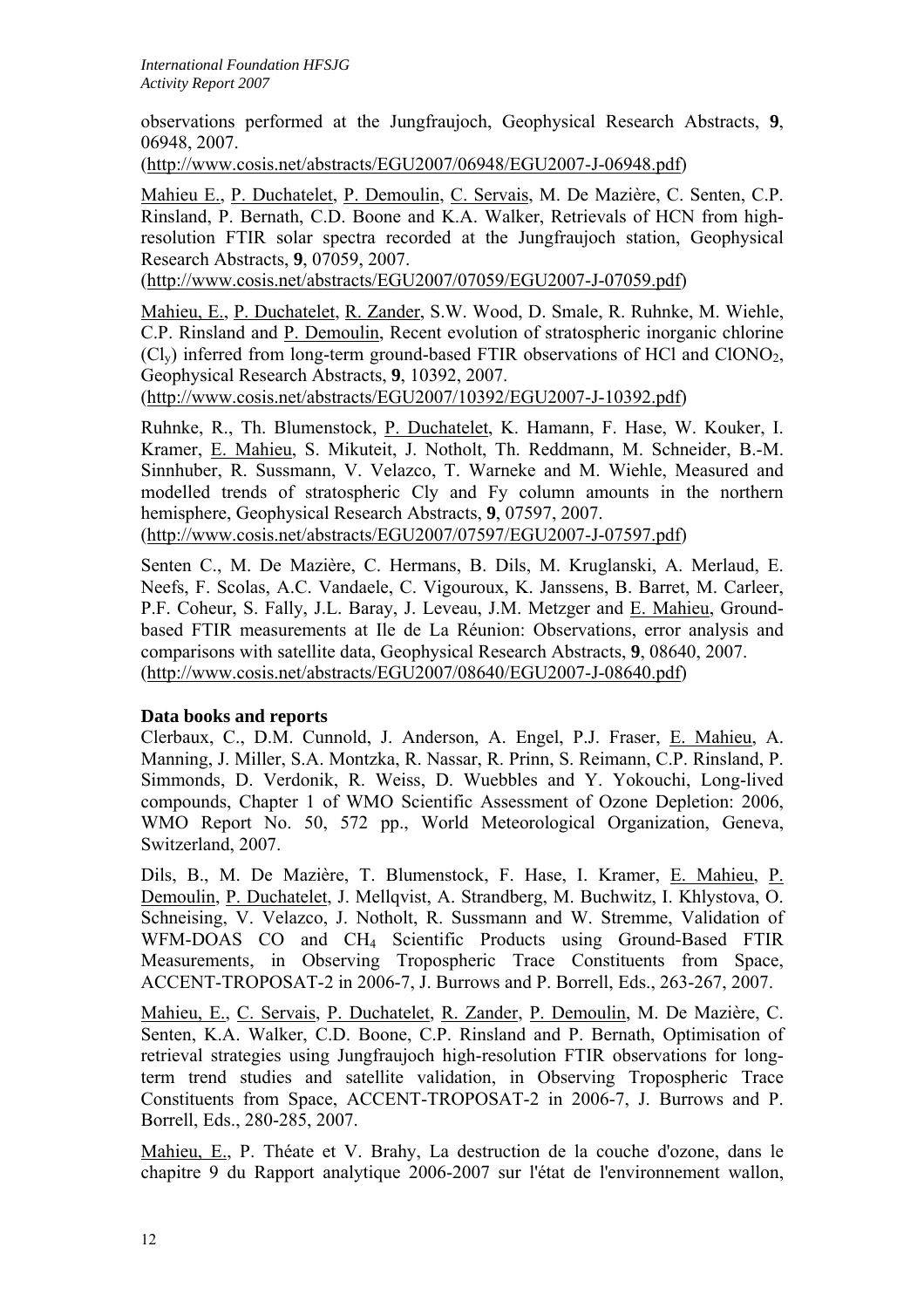*International Foundation HFSJG Activity Report 2007*

observations performed at the Jungfraujoch, Geophysical Research Abstracts, **9**, 06948, 2007.

(http://www.cosis.net/abstracts/EGU2007/06948/EGU2007-J-06948.pdf)

Mahieu E., P. Duchatelet, P. Demoulin, C. Servais, M. De Mazière, C. Senten, C.P. Rinsland, P. Bernath, C.D. Boone and K.A. Walker, Retrievals of HCN from highresolution FTIR solar spectra recorded at the Jungfraujoch station, Geophysical Research Abstracts, **9**, 07059, 2007.

(http://www.cosis.net/abstracts/EGU2007/07059/EGU2007-J-07059.pdf)

Mahieu, E., P. Duchatelet, R. Zander, S.W. Wood, D. Smale, R. Ruhnke, M. Wiehle, C.P. Rinsland and P. Demoulin, Recent evolution of stratospheric inorganic chlorine  $(Cl<sub>v</sub>)$  inferred from long-term ground-based FTIR observations of HCl and ClONO<sub>2</sub>, Geophysical Research Abstracts, **9**, 10392, 2007.

(http://www.cosis.net/abstracts/EGU2007/10392/EGU2007-J-10392.pdf)

Ruhnke, R., Th. Blumenstock, P. Duchatelet, K. Hamann, F. Hase, W. Kouker, I. Kramer, E. Mahieu, S. Mikuteit, J. Notholt, Th. Reddmann, M. Schneider, B.-M. Sinnhuber, R. Sussmann, V. Velazco, T. Warneke and M. Wiehle, Measured and modelled trends of stratospheric Cly and Fy column amounts in the northern hemisphere, Geophysical Research Abstracts, **9**, 07597, 2007. (http://www.cosis.net/abstracts/EGU2007/07597/EGU2007-J-07597.pdf)

Senten C., M. De Mazière, C. Hermans, B. Dils, M. Kruglanski, A. Merlaud, E. Neefs, F. Scolas, A.C. Vandaele, C. Vigouroux, K. Janssens, B. Barret, M. Carleer, P.F. Coheur, S. Fally, J.L. Baray, J. Leveau, J.M. Metzger and E. Mahieu, Groundbased FTIR measurements at Ile de La Réunion: Observations, error analysis and comparisons with satellite data, Geophysical Research Abstracts, **9**, 08640, 2007. (http://www.cosis.net/abstracts/EGU2007/08640/EGU2007-J-08640.pdf)

### **Data books and reports**

Clerbaux, C., D.M. Cunnold, J. Anderson, A. Engel, P.J. Fraser, E. Mahieu, A. Manning, J. Miller, S.A. Montzka, R. Nassar, R. Prinn, S. Reimann, C.P. Rinsland, P. Simmonds, D. Verdonik, R. Weiss, D. Wuebbles and Y. Yokouchi, Long-lived compounds, Chapter 1 of WMO Scientific Assessment of Ozone Depletion: 2006, WMO Report No. 50, 572 pp., World Meteorological Organization, Geneva, Switzerland, 2007.

Dils, B., M. De Mazière, T. Blumenstock, F. Hase, I. Kramer, E. Mahieu, P. Demoulin, P. Duchatelet, J. Mellqvist, A. Strandberg, M. Buchwitz, I. Khlystova, O. Schneising, V. Velazco, J. Notholt, R. Sussmann and W. Stremme, Validation of WFM-DOAS CO and CH4 Scientific Products using Ground-Based FTIR Measurements, in Observing Tropospheric Trace Constituents from Space, ACCENT-TROPOSAT-2 in 2006-7, J. Burrows and P. Borrell, Eds., 263-267, 2007.

Mahieu, E., C. Servais, P. Duchatelet, R. Zander, P. Demoulin, M. De Mazière, C. Senten, K.A. Walker, C.D. Boone, C.P. Rinsland and P. Bernath, Optimisation of retrieval strategies using Jungfraujoch high-resolution FTIR observations for longterm trend studies and satellite validation, in Observing Tropospheric Trace Constituents from Space, ACCENT-TROPOSAT-2 in 2006-7, J. Burrows and P. Borrell, Eds., 280-285, 2007.

Mahieu, E., P. Théate et V. Brahy, La destruction de la couche d'ozone, dans le chapitre 9 du Rapport analytique 2006-2007 sur l'état de l'environnement wallon,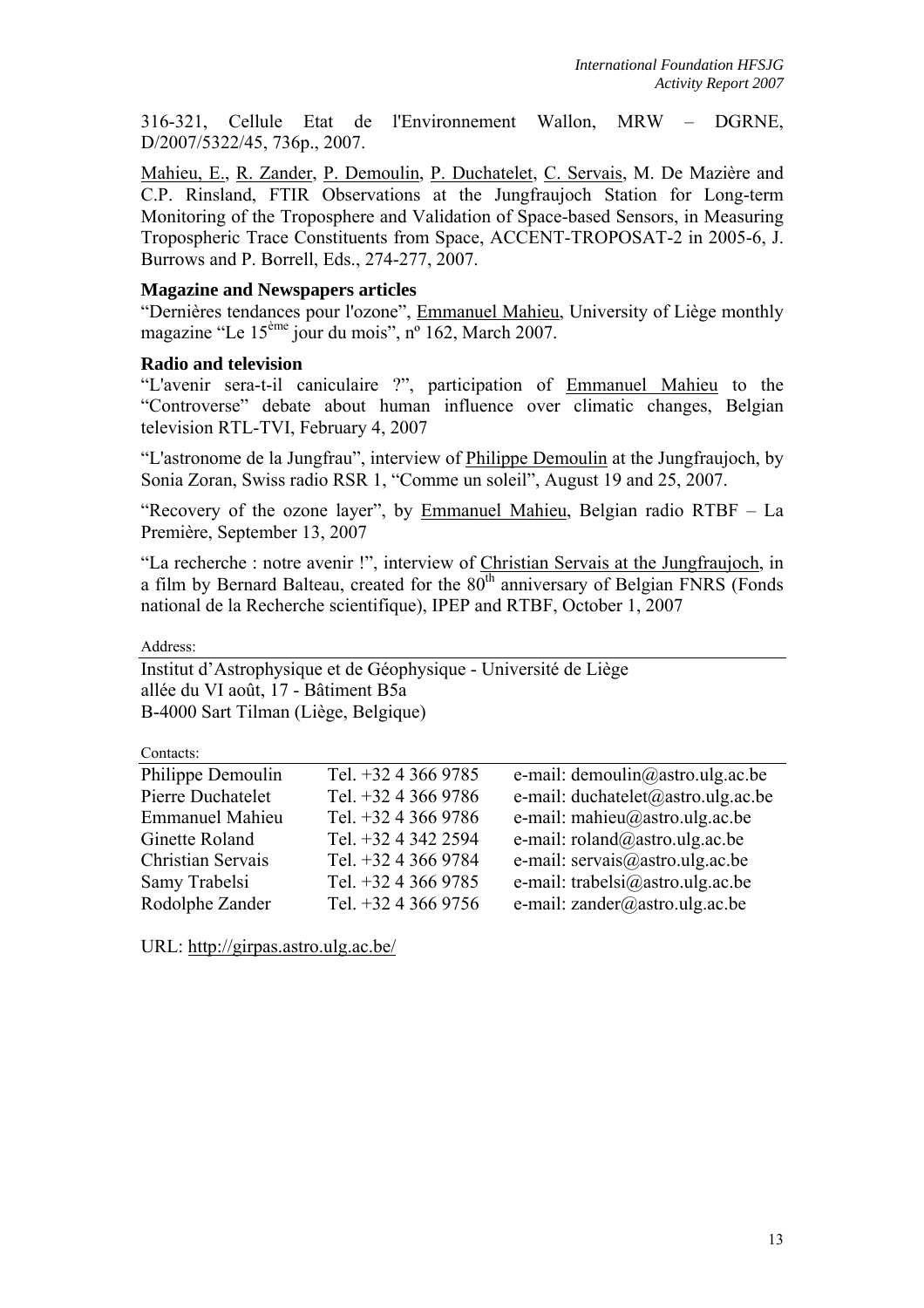316-321, Cellule Etat de l'Environnement Wallon, MRW – DGRNE, D/2007/5322/45, 736p., 2007.

Mahieu, E., R. Zander, P. Demoulin, P. Duchatelet, C. Servais, M. De Mazière and C.P. Rinsland, FTIR Observations at the Jungfraujoch Station for Long-term Monitoring of the Troposphere and Validation of Space-based Sensors, in Measuring Tropospheric Trace Constituents from Space, ACCENT-TROPOSAT-2 in 2005-6, J. Burrows and P. Borrell, Eds., 274-277, 2007.

# **Magazine and Newspapers articles**

"Dernières tendances pour l'ozone", Emmanuel Mahieu, University of Liège monthly magazine "Le 15ème jour du mois", nº 162, March 2007.

# **Radio and television**

"L'avenir sera-t-il caniculaire ?", participation of Emmanuel Mahieu to the "Controverse" debate about human influence over climatic changes, Belgian television RTL-TVI, February 4, 2007

"L'astronome de la Jungfrau", interview of Philippe Demoulin at the Jungfraujoch, by Sonia Zoran, Swiss radio RSR 1, "Comme un soleil", August 19 and 25, 2007.

"Recovery of the ozone layer", by Emmanuel Mahieu, Belgian radio RTBF – La Première, September 13, 2007

"La recherche : notre avenir !", interview of Christian Servais at the Jungfraujoch, in a film by Bernard Balteau, created for the  $80<sup>th</sup>$  anniversary of Belgian FNRS (Fonds national de la Recherche scientifique), IPEP and RTBF, October 1, 2007

Address:

Institut d'Astrophysique et de Géophysique - Université de Liège allée du VI août, 17 - Bâtiment B5a B-4000 Sart Tilman (Liège, Belgique)

Contacts:

| Philippe Demoulin      | Tel. $+3243669785$  | e-mail: demoulin@astro.ulg.ac.be   |
|------------------------|---------------------|------------------------------------|
| Pierre Duchatelet      | Tel. +32 4 366 9786 | e-mail: duchatelet@astro.ulg.ac.be |
| <b>Emmanuel Mahieu</b> | Tel. $+3243669786$  | e-mail: mahieu@astro.ulg.ac.be     |
| Ginette Roland         | Tel. +32 4 342 2594 | e-mail: $roland@astro.ulg.ac.be$   |
| Christian Servais      | Tel. +32 4 366 9784 | e-mail: $servais@astro.ulg.ac.be$  |
| Samy Trabelsi          | Tel. $+3243669785$  | e-mail: trabelsi@astro.ulg.ac.be   |
| Rodolphe Zander        | Tel. +32 4 366 9756 | e-mail: zander@astro.ulg.ac.be     |

URL: http://girpas.astro.ulg.ac.be/